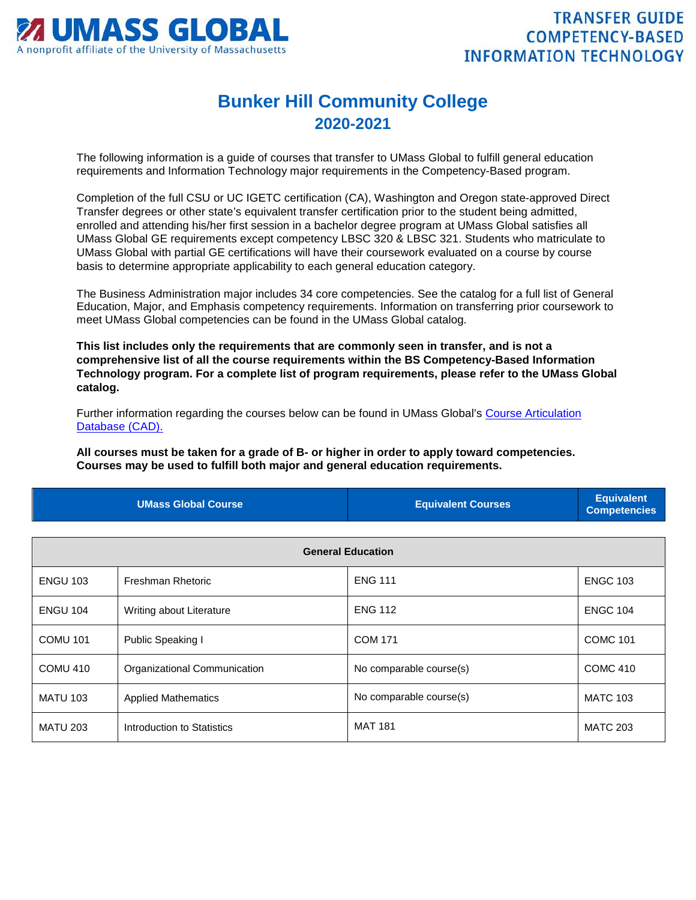

## **Bunker Hill Community College 2020-2021**

The following information is a guide of courses that transfer to UMass Global to fulfill general education requirements and Information Technology major requirements in the Competency-Based program.

Completion of the full CSU or UC IGETC certification (CA), Washington and Oregon state-approved Direct Transfer degrees or other state's equivalent transfer certification prior to the student being admitted, enrolled and attending his/her first session in a bachelor degree program at UMass Global satisfies all UMass Global GE requirements except competency LBSC 320 & LBSC 321. Students who matriculate to UMass Global with partial GE certifications will have their coursework evaluated on a course by course basis to determine appropriate applicability to each general education category.

The Business Administration major includes 34 core competencies. See the catalog for a full list of General Education, Major, and Emphasis competency requirements. Information on transferring prior coursework to meet UMass Global competencies can be found in the UMass Global catalog.

**This list includes only the requirements that are commonly seen in transfer, and is not a comprehensive list of all the course requirements within the BS Competency-Based Information Technology program. For a complete list of program requirements, please refer to the UMass Global catalog.**

Further information regarding the courses below can be found in UMass Global's [Course Articulation](http://services.umassglobal.edu/studentservices/TransferCredit/)  [Database \(CAD\).](http://services.umassglobal.edu/studentservices/TransferCredit/) 

**All courses must be taken for a grade of B- or higher in order to apply toward competencies. Courses may be used to fulfill both major and general education requirements.** 

| <b>UMass Global Course</b> | <b>Equivalent Courses</b> | <b>Equivalent</b><br><b>Competencies</b> |
|----------------------------|---------------------------|------------------------------------------|
|                            |                           |                                          |

| <b>General Education</b> |                              |                         |                 |
|--------------------------|------------------------------|-------------------------|-----------------|
| <b>ENGU 103</b>          | Freshman Rhetoric            | <b>ENG 111</b>          | <b>ENGC 103</b> |
| <b>ENGU 104</b>          | Writing about Literature     | <b>ENG 112</b>          | <b>ENGC 104</b> |
| <b>COMU 101</b>          | Public Speaking I            | <b>COM 171</b>          | <b>COMC 101</b> |
| COMU 410                 | Organizational Communication | No comparable course(s) | <b>COMC 410</b> |
| <b>MATU 103</b>          | <b>Applied Mathematics</b>   | No comparable course(s) | <b>MATC 103</b> |
| <b>MATU 203</b>          | Introduction to Statistics   | <b>MAT 181</b>          | <b>MATC 203</b> |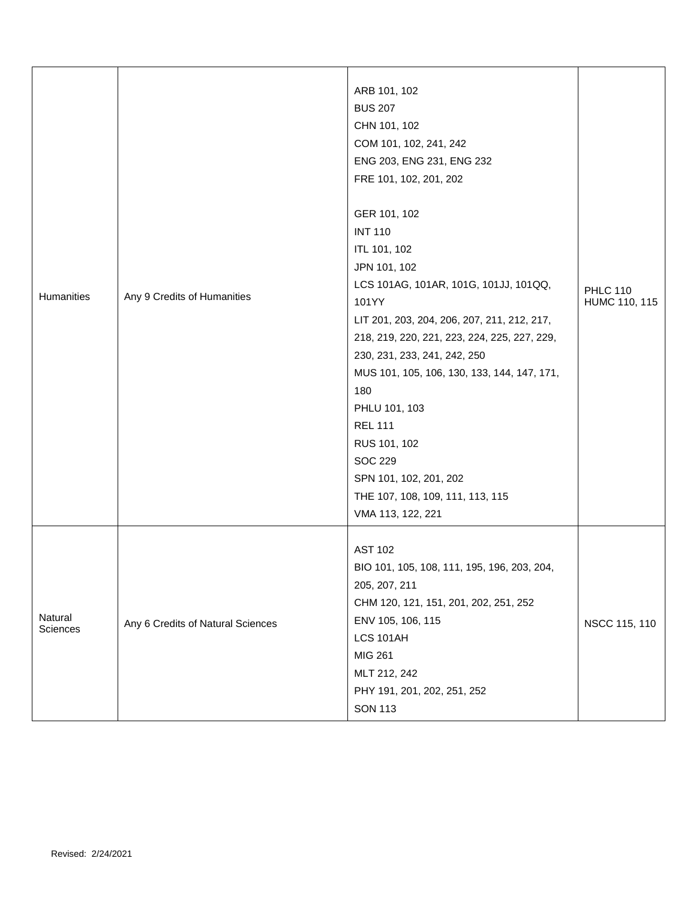| Humanities          | Any 9 Credits of Humanities       | ARB 101, 102<br><b>BUS 207</b><br>CHN 101, 102<br>COM 101, 102, 241, 242<br>ENG 203, ENG 231, ENG 232<br>FRE 101, 102, 201, 202<br>GER 101, 102<br><b>INT 110</b><br>ITL 101, 102<br>JPN 101, 102<br>LCS 101AG, 101AR, 101G, 101JJ, 101QQ,<br>101YY<br>LIT 201, 203, 204, 206, 207, 211, 212, 217,<br>218, 219, 220, 221, 223, 224, 225, 227, 229,<br>230, 231, 233, 241, 242, 250<br>MUS 101, 105, 106, 130, 133, 144, 147, 171,<br>180<br>PHLU 101, 103<br><b>REL 111</b><br>RUS 101, 102<br><b>SOC 229</b><br>SPN 101, 102, 201, 202<br>THE 107, 108, 109, 111, 113, 115<br>VMA 113, 122, 221 | <b>PHLC 110</b><br>HUMC 110, 115 |
|---------------------|-----------------------------------|--------------------------------------------------------------------------------------------------------------------------------------------------------------------------------------------------------------------------------------------------------------------------------------------------------------------------------------------------------------------------------------------------------------------------------------------------------------------------------------------------------------------------------------------------------------------------------------------------|----------------------------------|
| Natural<br>Sciences | Any 6 Credits of Natural Sciences | <b>AST 102</b><br>BIO 101, 105, 108, 111, 195, 196, 203, 204,<br>205, 207, 211<br>CHM 120, 121, 151, 201, 202, 251, 252<br>ENV 105, 106, 115<br>LCS 101AH<br><b>MIG 261</b><br>MLT 212, 242<br>PHY 191, 201, 202, 251, 252<br><b>SON 113</b>                                                                                                                                                                                                                                                                                                                                                     | NSCC 115, 110                    |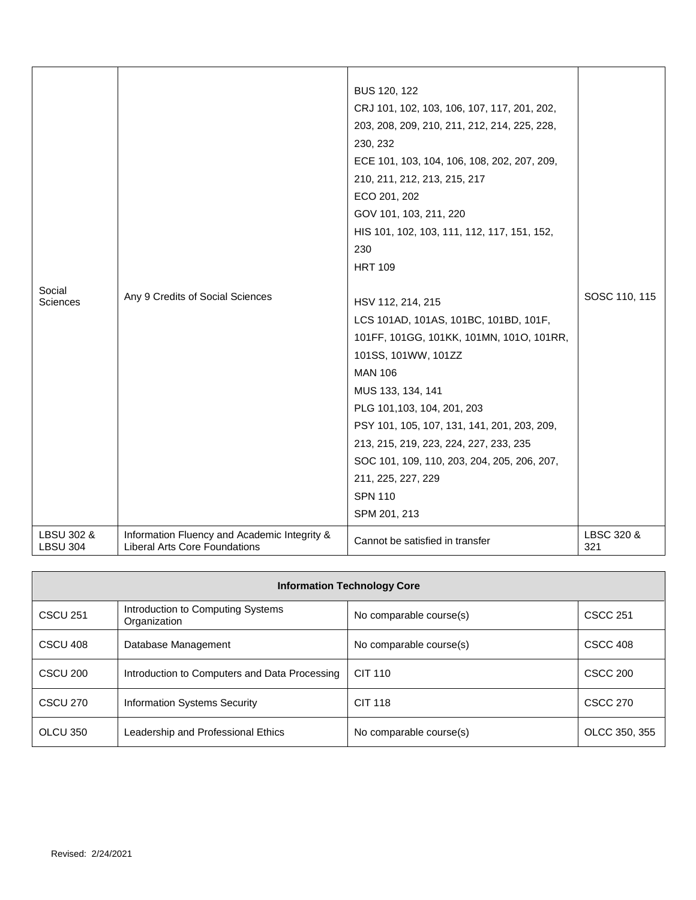| Social<br><b>Sciences</b>     | Any 9 Credits of Social Sciences                                                     | BUS 120, 122<br>CRJ 101, 102, 103, 106, 107, 117, 201, 202,<br>203, 208, 209, 210, 211, 212, 214, 225, 228,<br>230, 232<br>ECE 101, 103, 104, 106, 108, 202, 207, 209,<br>210, 211, 212, 213, 215, 217<br>ECO 201, 202<br>GOV 101, 103, 211, 220<br>HIS 101, 102, 103, 111, 112, 117, 151, 152,<br>230<br><b>HRT 109</b>                                                                           |                   |
|-------------------------------|--------------------------------------------------------------------------------------|----------------------------------------------------------------------------------------------------------------------------------------------------------------------------------------------------------------------------------------------------------------------------------------------------------------------------------------------------------------------------------------------------|-------------------|
|                               |                                                                                      | HSV 112, 214, 215<br>LCS 101AD, 101AS, 101BC, 101BD, 101F,<br>101FF, 101GG, 101KK, 101MN, 101O, 101RR,<br>101SS, 101WW, 101ZZ<br><b>MAN 106</b><br>MUS 133, 134, 141<br>PLG 101,103, 104, 201, 203<br>PSY 101, 105, 107, 131, 141, 201, 203, 209,<br>213, 215, 219, 223, 224, 227, 233, 235<br>SOC 101, 109, 110, 203, 204, 205, 206, 207,<br>211, 225, 227, 229<br><b>SPN 110</b><br>SPM 201, 213 | SOSC 110, 115     |
| LBSU 302 &<br><b>LBSU 304</b> | Information Fluency and Academic Integrity &<br><b>Liberal Arts Core Foundations</b> | Cannot be satisfied in transfer                                                                                                                                                                                                                                                                                                                                                                    | LBSC 320 &<br>321 |

| <b>Information Technology Core</b> |                                                   |                         |               |
|------------------------------------|---------------------------------------------------|-------------------------|---------------|
| <b>CSCU 251</b>                    | Introduction to Computing Systems<br>Organization | No comparable course(s) | CSCC 251      |
| CSCU 408                           | Database Management                               | No comparable course(s) | CSCC 408      |
| CSCU 200                           | Introduction to Computers and Data Processing     | CIT 110                 | CSCC 200      |
| <b>CSCU 270</b>                    | <b>Information Systems Security</b>               | <b>CIT 118</b>          | CSCC 270      |
| OLCU 350                           | Leadership and Professional Ethics                | No comparable course(s) | OLCC 350, 355 |